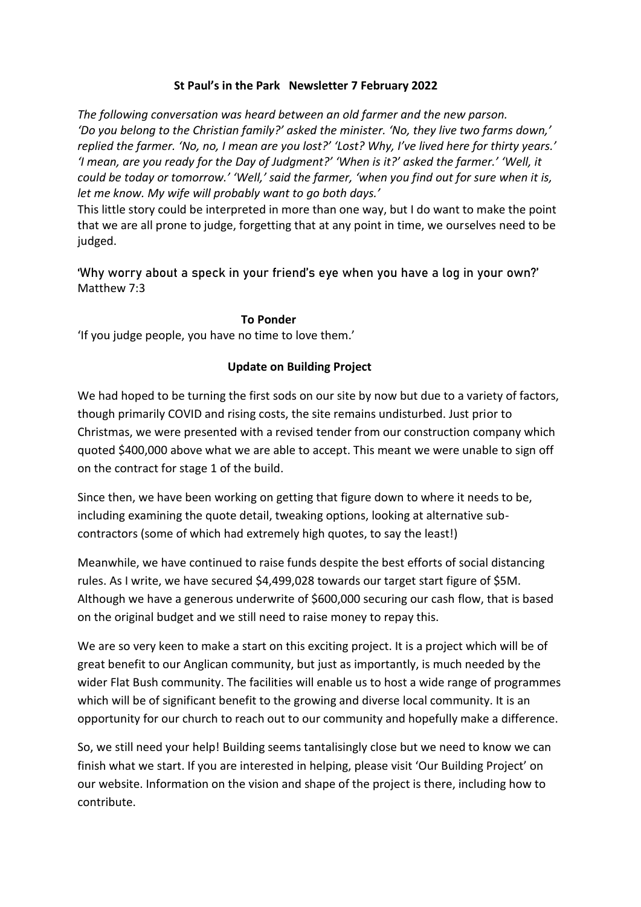# **St Paul's in the Park Newsletter 7 February 2022**

*The following conversation was heard between an old farmer and the new parson. 'Do you belong to the Christian family?' asked the minister. 'No, they live two farms down,' replied the farmer. 'No, no, I mean are you lost?' 'Lost? Why, I've lived here for thirty years.' 'I mean, are you ready for the Day of Judgment?' 'When is it?' asked the farmer.' 'Well, it could be today or tomorrow.' 'Well,' said the farmer, 'when you find out for sure when it is, let me know. My wife will probably want to go both days.'*

This little story could be interpreted in more than one way, but I do want to make the point that we are all prone to judge, forgetting that at any point in time, we ourselves need to be judged.

'Why worry about a speck in your friend's eye when you have a log in your own?' Matthew 7:3

## **To Ponder**

'If you judge people, you have no time to love them.'

## **Update on Building Project**

We had hoped to be turning the first sods on our site by now but due to a variety of factors, though primarily COVID and rising costs, the site remains undisturbed. Just prior to Christmas, we were presented with a revised tender from our construction company which quoted \$400,000 above what we are able to accept. This meant we were unable to sign off on the contract for stage 1 of the build.

Since then, we have been working on getting that figure down to where it needs to be, including examining the quote detail, tweaking options, looking at alternative subcontractors (some of which had extremely high quotes, to say the least!)

Meanwhile, we have continued to raise funds despite the best efforts of social distancing rules. As I write, we have secured \$4,499,028 towards our target start figure of \$5M. Although we have a generous underwrite of \$600,000 securing our cash flow, that is based on the original budget and we still need to raise money to repay this.

We are so very keen to make a start on this exciting project. It is a project which will be of great benefit to our Anglican community, but just as importantly, is much needed by the wider Flat Bush community. The facilities will enable us to host a wide range of programmes which will be of significant benefit to the growing and diverse local community. It is an opportunity for our church to reach out to our community and hopefully make a difference.

So, we still need your help! Building seems tantalisingly close but we need to know we can finish what we start. If you are interested in helping, please visit 'Our Building Project' on our website. Information on the vision and shape of the project is there, including how to contribute.